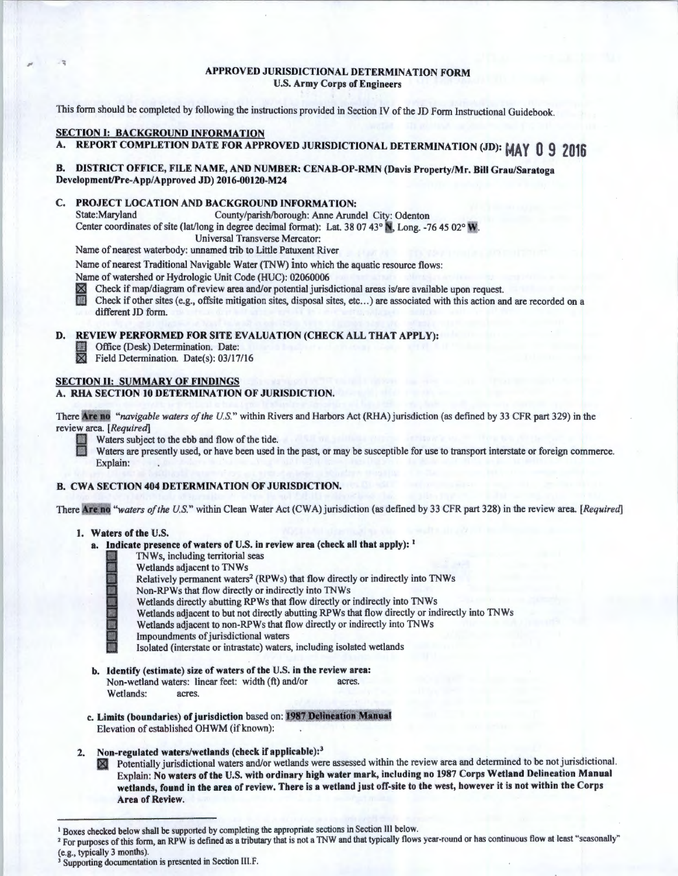#### APPROVED JURISDICTIONAL DETERMINATION FORM U.S. Army Corps of Engineers

This form should be completed by following the instructions provided in Section IV of the JD Form Instructional Guidebook.

### **SECTION I: BACKGROUND INFORMATION**

A. REPORT COMPLETION DATE FOR APPROVED JURISDICTIONAL DETERMINATION (JD): MA **y 0 9 2016** 

### B. DISTRICT OFFICE, FILE NAME, AND NUMBER: CENAB-OP-RMN (Davis Property/Mr. Bill Grau/Saratoga Development/Pre-App/Approved JD) 2016-00120-M24

# C. PROJECT LOCATION AND BACKGROUND INFORMATION:<br>State:Maryland County/parish/borough: Anne Aruno

County/parish/borough: Anne Arundel City: Odenton

Center coordinates of site (lat/long in degree decimal format): Lat. 38 07 43° N, Long. -76 45 02° W

Universal Transverse Mercator:

Name of nearest waterbody: unnamed trib to Little Patuxent River

Name of nearest Traditional Navigable Water (TNW) into which the aquatic resource flows:

Name of watershed or Hydrologic Unit Code (HUC): 02060006

 $\mathbb X$  Check if map/diagram of review area and/or potential jurisdictional areas is/are available upon request.

Check if other sites (e.g., offsite mitigation sites, disposal sites, etc...) are associated with this action and are recorded on a different JD form.

# D. REVIEW PERFORMED FOR SITE EVALUATION (CHECK ALL THAT APPLY):<br>Office (Desk) Determination. Date:<br> $\overline{X}$  Field Determination. Date(s): 03/17/16

Office (Desk) Determination. Date:

Field Determination. Date(s): 03/17/16

#### SECTION II: SUMMARY OF FINDINGS A. RHA SECTION 10 DETERMINATION OF JURISDICTION.

There Are no "*navigable waters of the U.S.*" within Rivers and Harbors Act (RHA) jurisdiction (as defined by 33 CFR part 329) in the review area. *[Required]* 



Waters subject to the ebb and flow of the tide.<br>Waters are presently used, or have been used in the past, or may be susceptible for use to transport interstate or foreign commerce. Explain:

#### B. CWA SECTION 404 DETERMINATION OF JURISDICTION.

There Are no "waters of the U.S." within Clean Water Act (CWA) jurisdiction (as defined by 33 CFR part 328) in the review area. *[Required]* 

#### 1. Waters of the U.S.

- a. Indicate presence of waters of U.S. in review area (check all that apply):  $<sup>1</sup>$ </sup>
	- TNWs, including territorial seas
	- Wetlands adjacent to TNWs
	- Relatively permanent waters<sup>2</sup> (RPWs) that flow directly or indirectly into TNWs
	- Non-RPWs that flow directly or indirectly into TNWs
	- Wetlands directly abutting RPWs that flow directly or indirectly into TNWs
	- Wetlands adjacent to but not directly abutting RPWs that flow directly or indirectly into TNWs
	- Wetlands adjacent to non-RPWs that flow directly or indirectly into TNWs
	- Impoundments of jurisdictional waters
		- Isolated (interstate or intrastate) waters, including isolated wetlands
- b. Identify (estimate) size of waters of the U.S. in the review area: Non-wetland waters: linear feet: width (ft) and/or acres. Wetlands: acres.
- c. Limits (boundaries) of jurisdiction based on: 1987 Delineation Manual Elevation of established OHWM (if known):
- 2. Non-regulated waters/wetlands (check if applicable):<sup>3</sup>
	- Potentially jurisdictional waters and/or wetlands were assessed within the review area and determined to be not jurisdictional. Explain: No waters of the U.S. with ordinary high water mark, including no 1987 Corps Wetland Delineation Manual wetlands, found in the area of review. There is a wetland just off-site to the west, however it is not within the Corps Area of Review.

<sup>&</sup>lt;sup>1</sup> Boxes checked below shall be supported by completing the appropriate sections in Section III below.<br><sup>2</sup> For purposes of this form, an RPW is defined as a tributary that is not a TNW and that typically flows year-round

<sup>(</sup>e.g., typically 3 months).  $3$  Supporting documentation is presented in Section III.F.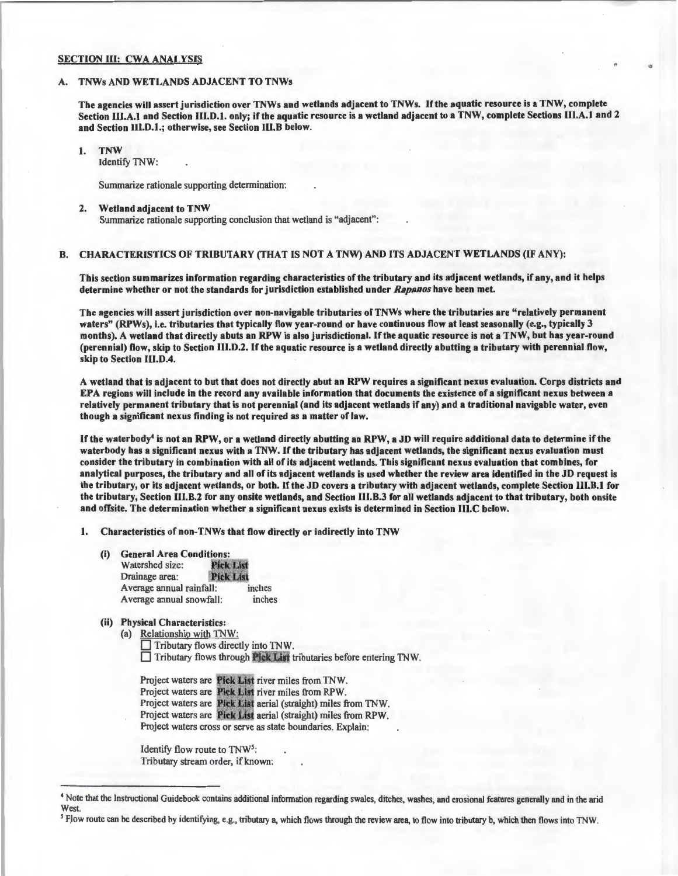#### **SECTION III: CWA ANALYSIS**

#### TNWs AND WETLANDS ADJACENT TO TNWs

The agencies will assert jurisdiction over TNWs and wetlands adjacent to TNWs. If the aquatic resource is a TNW, complete Section 111.A.1 and Section Ill.D.1. only; ifthe aquatic resource is a wetland adjacent to a TNW, complete Sections Ill.A.I and 2 and Section lll.D.1.; otherwise, see Section lll.B below.

#### 1. TNW

Identify TNW:

Summarize rationale supporting determination:

#### 2. Wetland adjacent to TNW

Summarize rationale supporting conclusion that wetland is "adjacent":

#### B. CHARACTERISTICS OF TRIBUTARY (THAT IS NOT A TNW) AND ITS ADJACENT WETLANDS (IF ANY):

This section summarizes information regarding characteristics of the tributary and its adjacent wetlands, if any, and it helps determine whether or not the standards for jurisdiction established under *Rapanos* have been met.

The agencies will assert jurisdiction over non-navigable tributaries of TNWs where the tributaries are "relatively permanent waters" (RPWs), i.e. tributaries that typically flow year-round or have continuous flow at least seasonally (e.g., typically 3 months). A wetland that directly abuts an RPW is also jurisdictional. If the aquatic resource is not a TNW, but has year-round (perennial) flow, skip to Section III.D.2. If the aquatic resource is a wetland directly abutting a tributary with perennial flow, skip to Section III.D.4.

A wetland that is adjacent to but that does not directly abut an RPW requires a significant nexus evaluation. Corps districts and EPA regions will include in the record any available information that documents the existence of a significant nexus between a relatively permanent tributary that is not perennial (and its adjacent wetlands if any) and a traditional navigable water, even though a significant nexus finding is not required as a matter of law.

If the waterbody<sup>4</sup> is not an RPW, or a wetland directly abutting an RPW, a JD will require additional data to determine if the waterbody has a significant nexus with a TNW. If the tributary has adjacent wetlands, the significant nexus evaluation must consider the tributary in combination with all of its adjacent wetlands. This significant nexus evaluation that combines, for analytical purposes, the tributary and all of its adjacent wetlands is used whether the review area identified in the JD request is the tributary, or its adjacent wetlands, or both. If the JD covers a tributary with adjacent wetlands, complete Section Ill.B.1 for the tributary, Section III.B.2 for any onsite wetlands, and Section 111.B.3 for all wetlands adjacent to that tributary, both onsite and offsite. The determination whether a significant nexus exists is determined in Section 111.C below.

1. Characteristics of non-TNWs that flow directly or indirectly into TNW

(i) General Area Conditions:

| Watershed size:          | <b>Pick List</b> |
|--------------------------|------------------|
| Drainage area:           | <b>Pick List</b> |
| Average annual rainfall: | inches           |
| Average annual snowfall: | inches           |

(ii) Physical Characteristics:

(a) Relationship with TNW:  $\Box$  Tributary flows directly into TNW.  $\Box$  Tributary flows through Pick List tributaries before entering TNW.

Project waters are Pick List river miles from TNW. Project waters are **Pick List** river miles from RPW. Project waters are Pick List aerial (straight) miles from TNW. Project waters are Pick List aerial (straight) miles from RPW. Project waters cross or serve as state boundaries. Explain:

Identify flow route to TNW5: Tributary stream order, if known:

<sup>4</sup> Note that the Instructional Guidebook contains additional information regarding swales, ditches, washes, and erosional features generally and in the arid **West** 

i flow route can be described by identifying, e.g., tributary a, which flows through the review area, to flow into tributary b, which then flows into TNW.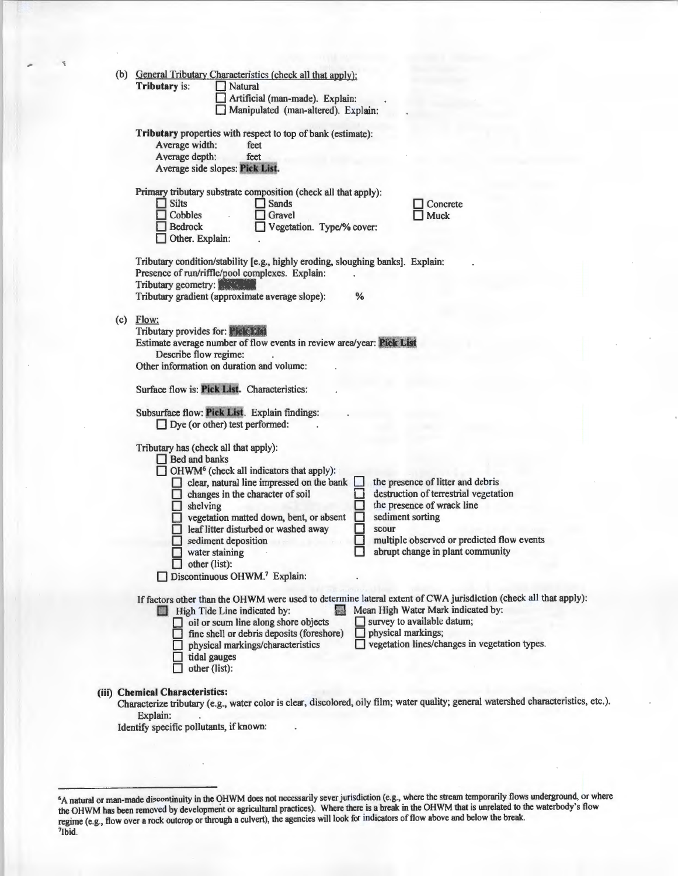|     |  | (b) General Tributary Characteristics (check all that apply):<br><b>Tributary is:</b><br>Natural<br>Artificial (man-made). Explain:<br>Manipulated (man-altered). Explain:                                                                                                                                                                                                                                                                                       |
|-----|--|------------------------------------------------------------------------------------------------------------------------------------------------------------------------------------------------------------------------------------------------------------------------------------------------------------------------------------------------------------------------------------------------------------------------------------------------------------------|
|     |  | Tributary properties with respect to top of bank (estimate):<br>Average width:<br>feet<br>Average depth:<br>feet<br>Average side slopes: Pick List.                                                                                                                                                                                                                                                                                                              |
|     |  | Primary tributary substrate composition (check all that apply):<br><b>Silts</b><br><b>Sands</b><br>Concrete<br>Cobbles<br>Gravel<br>Muck<br><b>Bedrock</b><br>Vegetation. Type/% cover:<br>Other. Explain:                                                                                                                                                                                                                                                       |
|     |  | Tributary condition/stability [e.g., highly eroding, sloughing banks]. Explain:<br>Presence of run/riffle/pool complexes. Explain:<br>Tributary geometry:<br>Tributary gradient (approximate average slope):<br>℅                                                                                                                                                                                                                                                |
| (c) |  | Flow:<br>Tributary provides for: Pick List<br>Estimate average number of flow events in review area/year: Pick List<br>Describe flow regime:<br>Other information on duration and volume:<br>Surface flow is: Pick List. Characteristics:<br>Subsurface flow: Pick List. Explain findings:                                                                                                                                                                       |
|     |  | $\Box$ Dye (or other) test performed:<br>Tributary has (check all that apply):<br>$\Box$ Bed and banks<br>$\Box$ OHWM <sup>6</sup> (check all indicators that apply):<br>clear, natural line impressed on the bank<br>the presence of litter and debris                                                                                                                                                                                                          |
|     |  | destruction of terrestrial vegetation<br>changes in the character of soil<br>the presence of wrack line<br>shelving<br>$\Box$<br>sediment sorting<br>vegetation matted down, bent, or absent<br>leaf litter disturbed or washed away<br>scour<br>multiple observed or predicted flow events<br>sediment deposition<br>abrupt change in plant community<br>water staining                                                                                         |
|     |  | $\Box$ other (list):<br>Discontinuous OHWM. <sup>7</sup> Explain:                                                                                                                                                                                                                                                                                                                                                                                                |
|     |  | If factors other than the OHWM were used to determine lateral extent of CWA jurisdiction (check all that apply):<br>Mean High Water Mark indicated by:<br><b>Ed High Tide Line indicated by:</b><br>survey to available datum;<br>oil or scum line along shore objects<br>physical markings;<br>fine shell or debris deposits (foreshore)<br>vegetation lines/changes in vegetation types.<br>physical markings/characteristics<br>tidal gauges<br>other (list): |
|     |  | (iii) Chemical Characteristics:<br>Characterize tributary (e.g., water color is clear, discolored, oily film; water quality; general watershed characteristics, etc.).<br>Explain:<br>Identify specific pollutants, if known:                                                                                                                                                                                                                                    |

<sup>6</sup>A natural or man-made discontinuity in the OHWM does not necessarily sever jurisdiction (e.g., where the stream temporarily flows underground, or where the OHWM has been removed by development or agricultural practices). Where there is a break in the OHWM that is unrelated to the waterbody's flow regime (e.g., flow over a rock outcrop or through a culvert), the agencies will look for indicators of flow above and below the break. 7 lbid.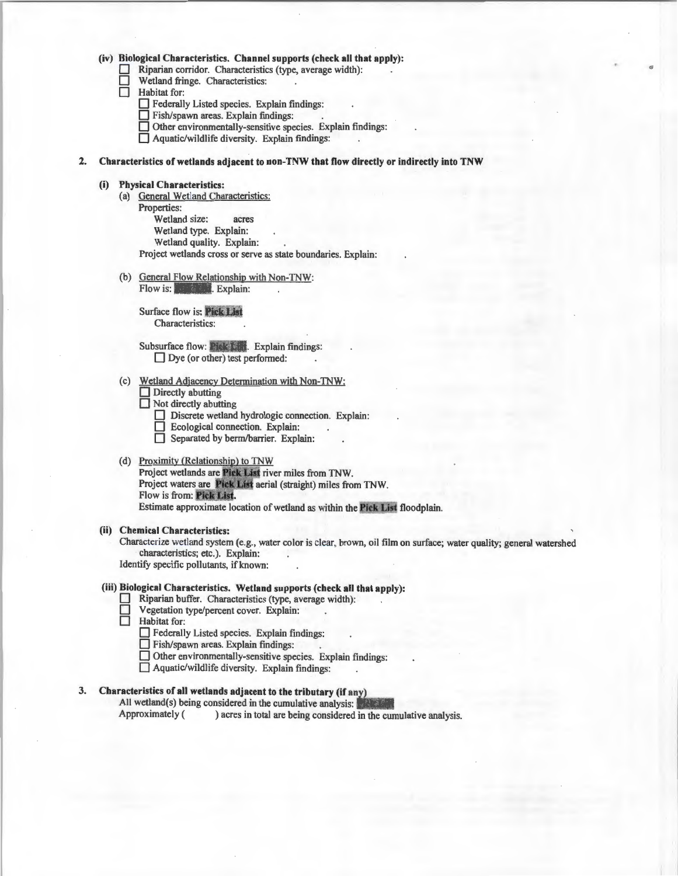#### **(iv) Biological Characteristics. Channel supports (check all that apply):**

- $\Box$  Riparian corridor. Characteristics (type, average width):<br> $\Box$  Wetland fringe. Characteristics:
- $\Box$  Wetland fringe. Characteristics:<br> $\Box$  Habitat for:

Habitat for:<br>
<u>D</u> Federall

- Federally Listed species. Explain findings:
- D Fish/spawn areas. Explain findings:
- $\Box$  Other environmentally-sensitive species. Explain findings:
- $\Box$  Aquatic/wildlife diversity. Explain findings:

#### *2.* **Characteristics of wetlands adjacent to non-TNW that flow directly or indirectly into TNW**

#### **(i) Physical Characteristics:**

- (a) General Wetland Characteristics: Properties: Wetland size: acres Wetland type. Explain: Wetland quality. Explain: Project wetlands cross or serve as state boundaries. Explain:
- (b) General Flow Relationship with Non-TNW: Flow is: *ick List Lis Explain:*

**Surface flow is: Pick List** Characteristics:

Subsurface flow: Pick 1. Explain findings:  $\Box$  Dye (or other) test performed:

- (c) Wetland Adjacency Determination with Non-TNW: **D** Directly abutting
	-
	- $\Box$  Not directly abutting
		- Discrete wetland hydrologic connection. Explain:
		- **D** Ecological connection. Explain:
		- Separated by berm/barrier. Explain:

#### (d) Proximity (Relationship) to TNW

Project wetlands are Pick List river miles from TNW. Project waters are Pick List aerial (straight) miles from TNW. Flow is from: Pick List. Estimate approximate location of wetland as within the Pick List floodplain.

#### **(ii) Chemical Characteristics:**

Characterize wetland system (e.g., water color is clear, brown, oil film on surface; water quality; general watershed characteristics; etc.). Explain:

Identify specific pollutants, if known:

#### **(iii) Biological Characteristics. Wetland supports (check all that apply):**

- Riparian buffer. Characteristics (type, average width):<br>
Pegetation type/percent cover. Explain:<br>
Habitat for:
- Vegetation type/percent cover. Explain:
- Habitat for:
	- 0 Federally Listed species. Explain findings:
	- $\Box$  Fish/spawn areas. Explain findings:
	- D Other environmentally-sensitive species. Explain findings:
	- $\Box$  Aquatic/wildlife diversity. Explain findings:

#### 3. Characteristics of all wetlands adjacent to the tributary (if any)

All wetland(s) being considered in the cumulative analysis: Approximately ( ) acres in total are being considered in the cumulative analysis.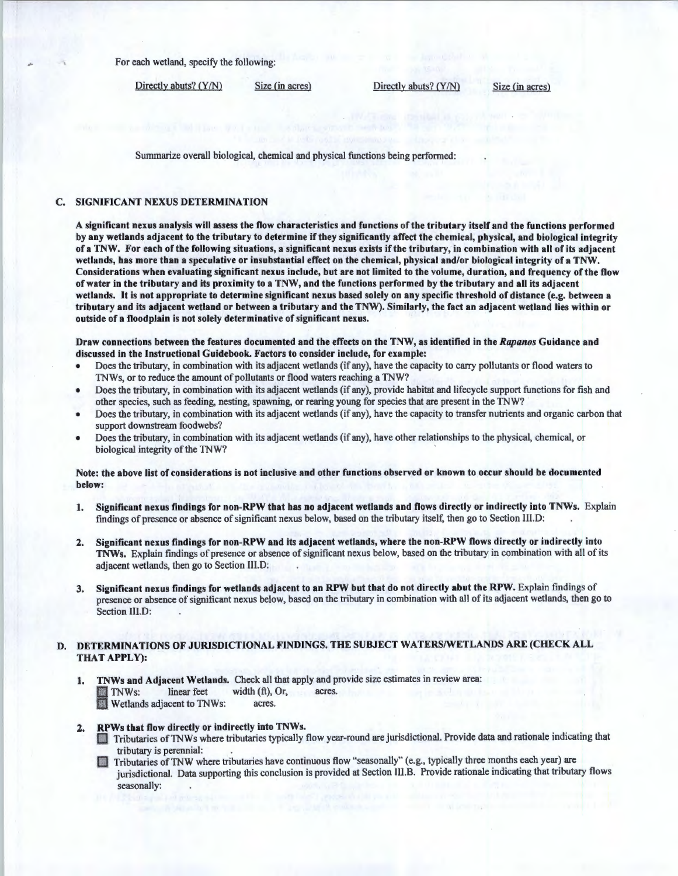For each wetland, specify the following:

Directly abuts? (Y/N) Size (in acres) Directly abuts? (Y/N) Size (in acres)

Summarize overall biological, chemical and physical functions being performed:

#### C. SIGNIFICANT NEXUS DETERMINATION

A significant nexus analysis will assess the flow characteristics and functions of the tributary itself and the functions performed by any wetlands adjacent to the tributary to determine if they significantly affect the chemical, physical, and biological integrity of a TNW. For each of the following situations, a significant nexus exists if the tributary, in combination with all of its adjacent wetlands, has more than a speculative or insubstantial effect on the chemical, physical and/or biological integrity of a TNW. Considerations when evaluating significant nexus include, but are not limited to the volume, duration, and frequency of the flow of water in the tributary and its proximity to a TNW, and the functions performed by the tributary and all its adjacent wetlands. It is not appropriate to determine significant nexus based solely on any specific threshold of distance (e.g. between a tributary and its adjacent wetland or between a tributary and the TNW). Similarly, the fact an adjacent wetland lies within or outside of a floodplain is not solely determinative of significant nexus.

Draw connections between the features documented and the effects on the TNW, as identified in the *Rapanos* Guidance and discussed in the Instructional Guidebook. Factors to consider include, for example:

- Does the tributary, in combination with its adjacent wetlands (if any), have the capacity to carry pollutants or flood waters to TNWs, or to reduce the amount of pollutants or flood waters reaching a TNW?
- Does the tributary, in combination with its adjacent wetlands (if any), provide habitat and Iifecycle support functions for fish and other species, such as feeding, nesting, spawning, or rearing young for species that are present in the TNW?
- Does the tributary, in combination with its adjacent wetlands (if any), have the capacity to transfer nutrients and organic carbon that support downstream foodwebs?
- Does the tributary, in combination with its adjacent wetlands (if any), have other relationships to the physical, chemical, or biological integrity of the TNW?

Note: the above list of considerations is not inclusive and other functions observed or known to occur should be documented below:

- 1. Significant nexus findings for non-RPW that has no adjacent wetlands and flows directly or indirectly into TNWs. Explain findings of presence or absence of significant nexus below, based on the tributary itself, then go to Section Jll.D:
- 2. Significant nexus findings for non-RPW and its adjacent wetlands, where the non-RPW flows directly or indirectly into TNWs. Explain findings of presence or absence of significant nexus below, based on the tributary in combination with all of its adjacent wetlands, then go to Section lll.D:
- 3. Significant nexus findings for wetlands adjacent to an RPW but that do not directly abut the RPW. Explain findings of presence or absence of significant nexus below, based on the tributary in combination with all of its adjacent wetlands, then go to Section Ill.D:

#### D. DETERMINATIONS OF JURISDICTIONAL FINDINGS. THE SUBJECT WATERS/WETLANDS ARE (CHECK ALL THAT APPLY):

1. TNWs and Adjacent Wetlands. Check all that apply and provide size estimates in review area: TNWs: linear feet width (ft), Or, acres.<br>Wetlands adjacent to TNWs: acres.

- RPWs that flow directly or indirectly into TNWs.<br>Tributaries of TNWs where tributaries typically flow year-round are jurisdictional. Provide data and rationale indicating that tributary is perennial:
	- Tributaries of TNW where tributaries have continuous flow "seasonally" (e.g., typically three months each year) are jurisdictional. Data supporting this conclusion is provided at Section III.B. Provide rationale indicating that tributary flows seasonally: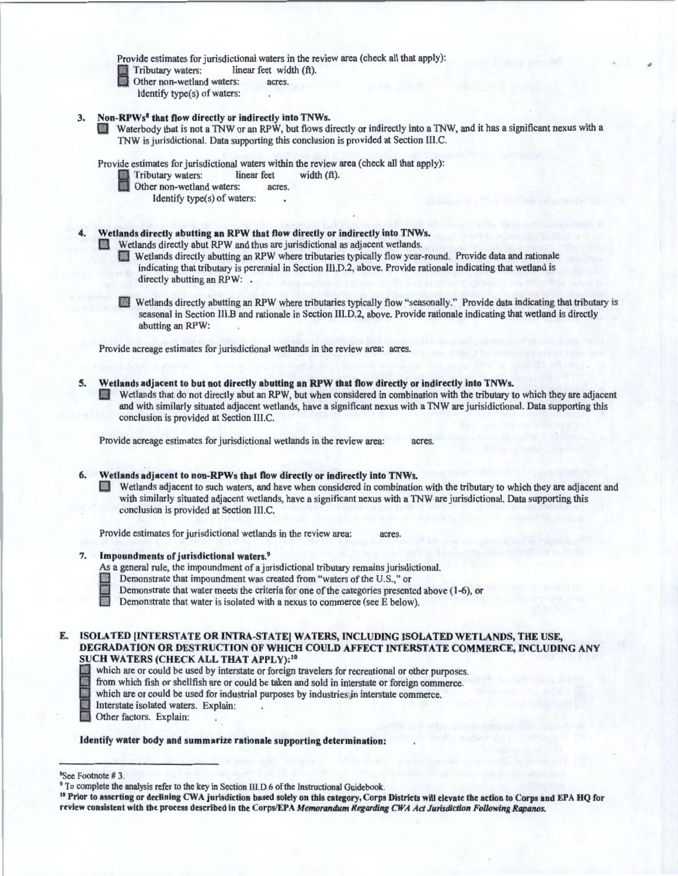Provide estimates for jurisdictional waters in the review area (check all that apply):

Tributary waters: linear feet width (ft).<br>
Other non-wetland waters: acres.<br>
Identify tyne(s) of waters:

- - Identify type(s) of waters:
- 
- 3. Non-RPWs<sup>8</sup> that flow directly or indirectly into TNWs.<br>D Waterbody that is not a TNW or an RPW, but flows directly or indirectly into a TNW, and it has a significant nexus with a TNW is jurisdictional. Data supporting this conclusion is provided at Section Ill.C.

Provide estimates for jurisdictional waters within the review area (check all that apply):

- Fributary waters: linear feet width (ft).<br>
Other non-wetland waters: acres.<br>
Identify tyne(s) of waters:
	- - Identify type(s) of waters:

# Wetlands directly abutting an RPW that flow directly or indirectly into TNWs.<br>Wetlands directly abut RPW and thus are jurisdictional as adjacent wetlands.

- Wetlands directly abutting an RPW where tributaries typically flow year-round. Provide data and rationale indicating that tributary is perennial in Section IIl.D.2, above. Provide rationale indicating that wetland is directly abutting an RPW: .
- D Wetlands directly abutting an RPW where tributaries typically flow "seasonally." Provide data indicating that tributary is seasonal in Section Ill.B and rationale in Section III.D.2, above. Provide rationale indicating that wetland is directly abutting an RPW:

Provide acreage estimates for jurisdictional wetlands in the review area: acres.

- 5. Wetlands adjacent to but not directly abutting an RPW that flow directly or indirectly into TNWs.
	- Wetlands that do not directly abut an RPW, but when considered in combination with the tributary to which they are adjacent and with similarly situated adjacent wetlands, have a significant nexus with a TNW are jurisidictional. Data supporting this conclusion is provided at Section III.C.

Provide acreage estimates for jurisdictional wetlands in the review area:

#### 6. Wetlands adjacent to non-RPWs that flow directly or indirectly into TNWs.

D Wetlands adjacent to such waters, and have when considered in combination with the tributary to which they are adjacent and with similarly situated adjacent wetlands, have a significant nexus with a TNW are jurisdictional. Data supporting this conclusion is provided at Section IIl.C.

Provide estimates for jurisdictional wetlands in the review area: acres.

#### 7. Impoundments of jurisdictional waters.<sup>9</sup>

- As a general rule, the impoundment of a jurisdictional tributary remains jurisdictional.<br>
Demonstrate that impoundment was created from "waters of the U.S.," or<br>
Demonstrate that water meets the criteria for one of the cat
	-
- Demonstrate that impoundment was created from "waters of the U.S.," or<br>■ Demonstrate that water meets the criteria for one of the categories presented<br>■ Demonstrate that water is isolated with a nexus to commerce (see E Demonstrate that water meets the criteria for one of the categories presented above (1-6), or
	-
- E. ISOLATED [INTERSTATE OR INTRA-STATE] WATERS, INCLUDING ISOLATED WETLANDS, THE USE, DEGRADATION OR DESTRUCTION OF WHICH COULD AFFECT INTERSTATE COMMERCE, INCLUDING ANY SUCH WATERS (CHECK ALL THAT APPLY):<sup>10</sup><br>which are or could be used by interstate or foreign travelers for recreational or other purposes.
	- which are or could be used by interstate or foreign travelers for recreational or other purposes.<br>
	from which fish or shellfish are or could be taken and sold in interstate or foreign commerce.<br>
	which are or could be used
	- from which fish or shellfish are or could be taken and sold in interstate or foreign commerce.
	- which are or could be used for industrial purposes by industries in interstate commerce.
	- Interstate isolated waters. Explain: .
	- Other factors. Explain:

Identify water body and summarize rationale supporting determination:

#### <sup>8</sup>See Footnote #3.

' 0 Prior to asserting or declining CWA jurisdiction based solely on this category, Corps Districts will elevate the action to Corps and EPA HQ for review consistent with the process described in the Corps/EPA *Memorandum Regarding CWA Act Jurisdiction Following Rapanos.* 

<sup>&</sup>lt;sup>9</sup> To complete the analysis refer to the key in Section III.D.6 of the Instructional Guidebook.